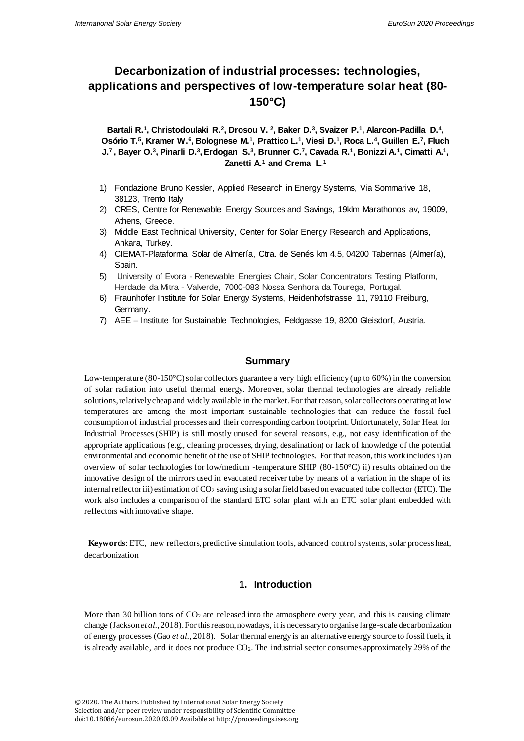# **Decarbonization of industrial processes: technologies, applications and perspectives of low-temperature solar heat (80- 150°C)**

Bartali R.<sup>1</sup>, Christodoulaki R.<sup>2</sup>, Drosou V.<sup>2</sup>, Baker D.<sup>3</sup>, Svaizer P.<sup>1</sup>, Alarcon-Padilla D.<sup>4</sup>, Osório T.5, Kramer W.6, Bolognese M.1, Prattico L.1, Viesi D.1, Roca L.4, Guillen E.7, Fluch J.<sup>7</sup>, Bayer O.<sup>3</sup>, Pinarli D.<sup>3</sup>, Erdogan S.<sup>3</sup>, Brunner C.<sup>7</sup>, Cavada R.<sup>1</sup>, Bonizzi A.<sup>1</sup>, Cimatti A.<sup>1</sup>, **Zanetti A.<sup>1</sup> and Crema L.<sup>1</sup>**

- 1) Fondazione Bruno Kessler, Applied Research in Energy Systems, Via Sommarive 18, 38123, Trento Italy
- 2) CRES, Centre for Renewable Energy Sources and Savings, 19klm Marathonos av, 19009, Athens, Greece.
- 3) Middle East Technical University, Center for Solar Energy Research and Applications, Ankara, Turkey.
- 4) CIEMAT-Plataforma Solar de Almería, Ctra. de Senés km 4.5, 04200 Tabernas (Almería), Spain.
- 5) University of Evora Renewable Energies Chair, Solar Concentrators Testing Platform, Herdade da Mitra - Valverde, 7000-083 Nossa Senhora da Tourega, Portugal.
- 6) Fraunhofer Institute for Solar Energy Systems, Heidenhofstrasse 11, 79110 Freiburg, Germany.
- 7) AEE Institute for Sustainable Technologies, Feldgasse 19, 8200 Gleisdorf, Austria.

# **Summary**

Low-temperature (80-150°C) solar collectors guarantee a very high efficiency (up to 60%) in the conversion of solar radiation into useful thermal energy. Moreover, solar thermal technologies are already reliable solutions, relatively cheap and widely available in the market. For that reason, solar collectors operating at low temperatures are among the most important sustainable technologies that can reduce the fossil fuel consumption of industrial processes and their corresponding carbon footprint. Unfortunately, Solar Heat for Industrial Processes (SHIP) is still mostly unused for several reasons, e.g., not easy identification of the appropriate applications (e.g., cleaning processes, drying, desalination) or lack of knowledge of the potential environmental and economic benefit of the use of SHIP technologies. For that reason, this work includes i) an overview of solar technologies for low/medium -temperature SHIP (80-150°C) ii) results obtained on the innovative design of the mirrors used in evacuated receiver tube by means of a variation in the shape of its internal reflector iii) estimation of  $CO<sub>2</sub>$  saving using a solar field based on evacuated tube collector (ETC). The work also includes a comparison of the standard ETC solar plant with an ETC solar plant embedded with reflectors with innovative shape.

 **Keywords**: ETC, new reflectors, predictive simulation tools, advanced control systems, solar process heat, decarbonization

# **1. Introduction**

More than 30 billion tons of  $CO<sub>2</sub>$  are released into the atmosphere every year, and this is causing climate change (Jackson *et al.*, 2018). For this reason, nowadays, it is necessary to organise large-scale decarbonization of energy processes (Gao *et al.*, 2018). Solar thermal energy is an alternative energy source to fossil fuels, it is already available, and it does not produce  $CO<sub>2</sub>$ . The industrial sector consumes approximately 29% of the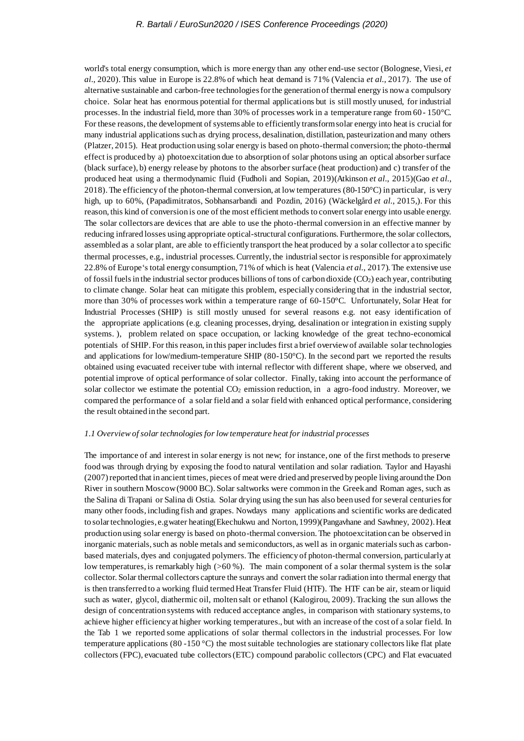world's total energy consumption, which is more energy than any other end-use sector (Bolognese, Viesi, *et al.*, 2020). This value in Europe is 22.8% of which heat demand is 71% (Valencia *et al.*, 2017). The use of alternative sustainable and carbon-free technologies for the generation of thermal energy is now a compulsory choice. Solar heat has enormous potential for thermal applications but is still mostly unused, for industrial processes. In the industrial field, more than 30% of processes work in a temperature range from 60- 150°C. For these reasons, the development of systems able to efficiently transform solar energy into heat is crucial for many industrial applications such as drying process, desalination, distillation, pasteurization and many others (Platzer, 2015). Heat production using solar energy is based on photo-thermal conversion; the photo-thermal effect is produced by a) photoexcitation due to absorption of solar photons using an optical absorber surface (black surface), b) energy release by photons to the absorber surface (heat production) and c) transfer of the produced heat using a thermodynamic fluid (Fudholi and Sopian, 2019)(Atkinson *et al.*, 2015)(Gao *et al.*, 2018). The efficiency of the photon-thermal conversion, at low temperatures (80-150 $^{\circ}$ C) in particular, is very high, up to 60%, (Papadimitratos, Sobhansarbandi and Pozdin, 2016) (Wäckelgård *et al.*, 2015,). For this reason, this kind of conversion is one of the most efficient methods to convert solar energy into usable energy. The solar collectors are devices that are able to use the photo-thermal conversion in an effective manner by reducing infrared losses using appropriate optical-structural configurations. Furthermore, the solar collectors, assembled as a solar plant, are able to efficiently transport the heat produced by a solar collector a to specific thermal processes, e.g., industrial processes. Currently, the industrial sector is responsible for approximately 22.8% of Europe's total energy consumption, 71% of which is heat (Valencia *et al.*, 2017). The extensive use of fossil fuels in the industrial sector produces billions of tons of carbon dioxide (CO2) each year, contributing to climate change. Solar heat can mitigate this problem, especially considering that in the industrial sector, more than 30% of processes work within a temperature range of 60-150°C. Unfortunately, Solar Heat for Industrial Processes (SHIP) is still mostly unused for several reasons e.g. not easy identification of the appropriate applications (e.g. cleaning processes, drying, desalination or integration in existing supply systems. ), problem related on space occupation, or lacking knowledge of the great techno-economical potentials of SHIP. For this reason, in this paper includes first a brief overview of available solar technologies and applications for low/medium-temperature SHIP (80-150°C). In the second part we reported the results obtained using evacuated receiver tube with internal reflector with different shape, where we observed, and potential improve of optical performance of solar collector. Finally, taking into account the performance of solar collector we estimate the potential  $CO<sub>2</sub>$  emission reduction, in a agro-food industry. Moreover, we compared the performance of a solar field and a solar field with enhanced optical performance, considering the result obtained in the second part.

#### *1.1 Overview of solar technologies for low temperature heat for industrial processes*

The importance of and interest in solar energy is not new; for instance, one of the first methods to preserve food was through drying by exposing the food to natural ventilation and solar radiation. Taylor and Hayashi (2007)reported that in ancient times, pieces of meat were dried and preserved by people living around the Don River in southern Moscow (9000 BC). Solar saltworks were common in the Greek and Roman ages, such as the Salina di Trapani or Salina di Ostia. Solar drying using the sun has also been used for several centuries for many other foods, including fish and grapes. Nowdays many applications and scientific works are dedicated to solar technologies, e.g water heating(Ekechukwu and Norton, 1999)(Pangavhane and Sawhney, 2002). Heat production using solar energy is based on photo-thermal conversion. The photoexcitation can be observed in inorganic materials, such as noble metals and semiconductors, as well as in organic materials such as carbonbased materials, dyes and conjugated polymers. The efficiency of photon-thermal conversion, particularly at low temperatures, is remarkably high (>60 %). The main component of a solar thermal system is the solar collector. Solar thermal collectors capture the sunrays and convert the solar radiation into thermal energy that is then transferred to a working fluid termed Heat Transfer Fluid (HTF). The HTF can be air, steam or liquid such as water, glycol, diathermic oil, molten salt or ethanol (Kalogirou, 2009). Tracking the sun allows the design of concentration systems with reduced acceptance angles, in comparison with stationary systems, to achieve higher efficiency at higher working temperatures., but with an increase of the cost of a solar field. In the Tab 1 we reported some applications of solar thermal collectors in the industrial processes. For low temperature applications (80 -150 °C) the most suitable technologies are stationary collectors like flat plate collectors (FPC), evacuated tube collectors (ETC) compound parabolic collectors (CPC) and Flat evacuated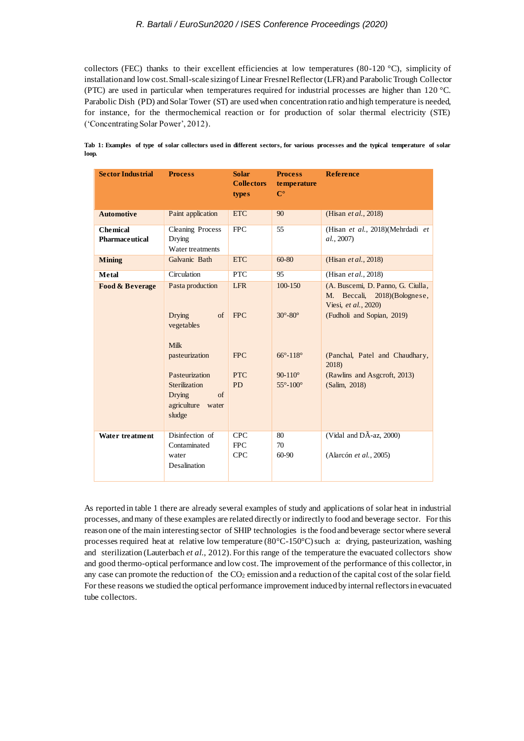#### R. Bartali / EuroSun2020 / ISES Conference Proceedings (2020)

collectors (FEC) thanks to their excellent efficiencies at low temperatures (80-120  $^{\circ}$ C), simplicity of installation and low cost. Small-scale sizing of Linear Fresnel Reflector (LFR) and Parabolic Trough Collector (PTC) are used in particular when temperatures required for industrial processes are higher than 120 °C. Parabolic Dish (PD) and Solar Tower (ST) are used when concentration ratio and high temperature is needed, for instance, for the thermochemical reaction or for production of solar thermal electricity (STE) ('Concentrating Solar Power', 2012).

| <b>Sector Industrial</b>                 | <b>Process</b>                                                                                                                                                                                 | <b>Solar</b><br><b>Collectors</b><br>types                 | <b>Process</b><br><b>temperature</b><br>$\mathbf{C}^{\circ}$                                                   | <b>Reference</b>                                                                                                                                                                                                          |
|------------------------------------------|------------------------------------------------------------------------------------------------------------------------------------------------------------------------------------------------|------------------------------------------------------------|----------------------------------------------------------------------------------------------------------------|---------------------------------------------------------------------------------------------------------------------------------------------------------------------------------------------------------------------------|
| <b>Automotive</b>                        | Paint application                                                                                                                                                                              | <b>ETC</b>                                                 | 90                                                                                                             | (Hisan et al., 2018)                                                                                                                                                                                                      |
| <b>Chemical</b><br><b>Pharmaceutical</b> | <b>Cleaning Process</b><br>Drying<br>Water treatments                                                                                                                                          | FPC.                                                       | 55                                                                                                             | (Hisan et al., 2018)(Mehrdadi et<br>al., 2007)                                                                                                                                                                            |
| <b>Mining</b>                            | Galvanic Bath                                                                                                                                                                                  | <b>ETC</b>                                                 | 60-80                                                                                                          | (Hisan et al., 2018)                                                                                                                                                                                                      |
| <b>Metal</b>                             | Circulation                                                                                                                                                                                    | <b>PTC</b>                                                 | 95                                                                                                             | (Hisan et al., 2018)                                                                                                                                                                                                      |
| Food & Beverage                          | Pasta production<br><b>Drying</b><br>$\sigma$<br>vegetables<br><b>Milk</b><br>pasteurization<br>Pasteurization<br>Sterilization<br><b>Drying</b><br>$\sigma$<br>agriculture<br>water<br>sludge | <b>LFR</b><br>FPC<br><b>FPC</b><br><b>PTC</b><br><b>PD</b> | 100-150<br>$30^\circ - 80^\circ$<br>$66^{\circ} - 118^{\circ}$<br>$90 - 110^{\circ}$<br>$55^\circ - 100^\circ$ | (A. Buscemi, D. Panno, G. Ciulla,<br>M. Beccali,<br>$2018$ )(Bolognese,<br>Viesi, et al., 2020)<br>(Fudholi and Sopian, 2019)<br>(Panchal, Patel and Chaudhary,<br>2018)<br>(Rawlins and Asgcroft, 2013)<br>(Salim, 2018) |
| Water treatment                          | Disinfection of<br>Contaminated<br>water<br>Desalination                                                                                                                                       | CPC.<br><b>FPC</b><br><b>CPC</b>                           | 80<br>70<br>60-90                                                                                              | (Vidal and $D\tilde{A}$ -az, 2000)<br>(Alarcón <i>et al.</i> , 2005)                                                                                                                                                      |

**Tab 1: Examples of type of solar collectors used in different sectors, for various processes and the typical temperature of solar loop.**

As reported in table 1 there are already several examples of study and applications of solar heat in industrial processes, and many of these examples are related directly or indirectly to food and beverage sector. For this reason one of the main interesting sector of SHIP technologies is the food and beverage sector where several processes required heat at relative low temperature (80°C-150°C) such a: drying, pasteurization, washing and sterilization (Lauterbach *et al.*, 2012). For this range of the temperature the evacuated collectors show and good thermo-optical performance and low cost. The improvement of the performance of this collector, in any case can promote the reduction of the  $CO<sub>2</sub>$  emission and a reduction of the capital cost of the solar field. For these reasons we studied the optical performance improvement induced by internal reflectors in evacuated tube collectors.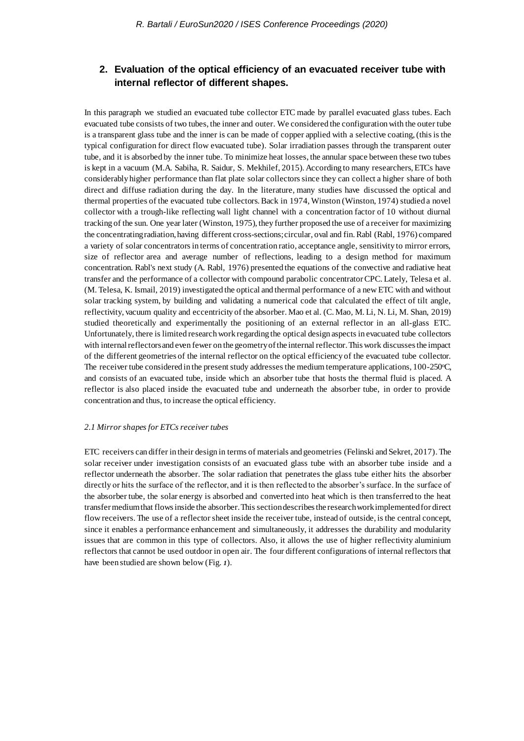# **2. Evaluation of the optical efficiency of an evacuated receiver tube with internal reflector of different shapes.**

In this paragraph we studied an evacuated tube collector ETC made by parallel evacuated glass tubes. Each evacuated tube consists of two tubes, the inner and outer. We considered the configuration with the outer tube is a transparent glass tube and the inner is can be made of copper applied with a selective coating, (this is the typical configuration for direct flow evacuated tube). Solar irradiation passes through the transparent outer tube, and it is absorbed by the inner tube. To minimize heat losses, the annular space between these two tubes is kept in a vacuum (M.A. Sabiha, R. Saidur, S. Mekhilef, 2015). According to many researchers, ETCs have considerably higher performance than flat plate solar collectors since they can collect a higher share of both direct and diffuse radiation during the day. In the literature, many studies have discussed the optical and thermal properties of the evacuated tube collectors. Back in 1974, Winston (Winston, 1974) studied a novel collector with a trough-like reflecting wall light channel with a concentration factor of 10 without diurnal tracking of the sun. One year later (Winston, 1975), they further proposed the use of a receiver for maximizing the concentrating radiation, having different cross-sections; circular, oval and fin. Rabl (Rabl, 1976) compared a variety of solar concentrators in terms of concentration ratio, acceptance angle, sensitivity to mirror errors, size of reflector area and average number of reflections, leading to a design method for maximum concentration. Rabl's next study (A. Rabl, 1976) presented the equations of the convective and radiative heat transfer and the performance of a collector with compound parabolic concentrator CPC. Lately, Telesa et al. (M. Telesa, K. Ismail, 2019) investigated the optical and thermal performance of a new ETC with and without solar tracking system, by building and validating a numerical code that calculated the effect of tilt angle, reflectivity, vacuum quality and eccentricity of the absorber. Mao et al. (C. Mao, M. Li, N. Li, M. Shan, 2019) studied theoretically and experimentally the positioning of an external reflector in an all-glass ETC. Unfortunately, there is limited research work regarding the optical design aspects in evacuated tube collectors with internal reflectors and even fewer on the geometry of the internal reflector. This work discusses the impact of the different geometries of the internal reflector on the optical efficiency of the evacuated tube collector. The receiver tube considered in the present study addresses the medium temperature applications, 100-250°C, and consists of an evacuated tube, inside which an absorber tube that hosts the thermal fluid is placed. A reflector is also placed inside the evacuated tube and underneath the absorber tube, in order to provide concentration and thus, to increase the optical efficiency.

#### *2.1 Mirror shapes for ETCs receiver tubes*

ETC receivers can differ in their design in terms of materials and geometries (Felinski and Sekret, 2017). The solar receiver under investigation consists of an evacuated glass tube with an absorber tube inside and a reflector underneath the absorber. The solar radiation that penetrates the glass tube either hits the absorber directly or hits the surface of the reflector, and it is then reflected to the absorber's surface. In the surface of the absorber tube, the solar energy is absorbed and converted into heat which is then transferred to the heat transfer medium that flows inside the absorber. This section describes the research work implemented for direct flow receivers. The use of a reflector sheet inside the receiver tube, instead of outside, is the central concept, since it enables a performance enhancement and simultaneously, it addresses the durability and modularity issues that are common in this type of collectors. Also, it allows the use of higher reflectivity aluminium reflectors that cannot be used outdoor in open air. The four different configurations of internal reflectors that have been studied are shown below (Fig. *1*).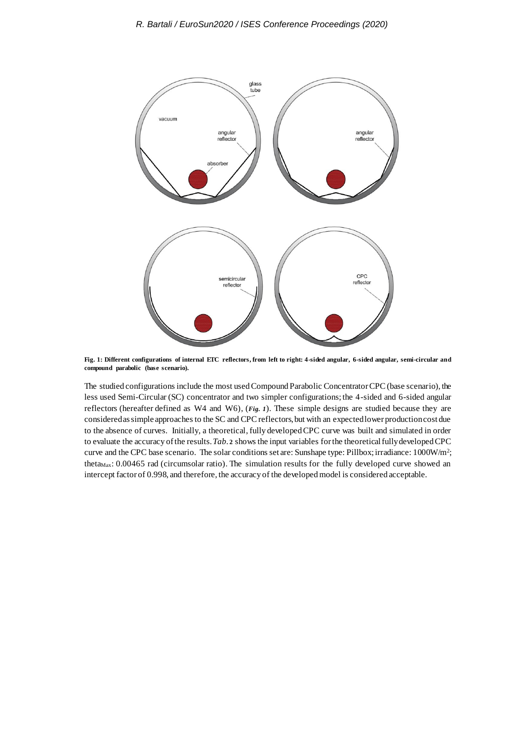

**Fig. 1: Different configurations of internal ETC reflectors, from left to right: 4-sided angular, 6-sided angular, semi-circular and compound parabolic (base scenario).**

The studied configurations include the most usedCompound Parabolic Concentrator CPC (base scenario), the less used Semi-Circular (SC) concentrator and two simpler configurations; the 4-sided and 6-sided angular reflectors (hereafter defined as W4 and W6), (*Fig. 1*). These simple designs are studied because they are considered as simple approaches to the SC and CPC reflectors, but with an expected lower production cost due to the absence of curves. Initially, a theoretical, fully developed CPC curve was built and simulated in order to evaluate the accuracy of the results. *Tab.* **2** shows the input variables for the theoretical fully developed CPC curve and the CPC base scenario. The solar conditions set are: Sunshape type: Pillbox; irradiance: 1000W/m<sup>2</sup>; theta<sub>Max</sub>:  $0.00465$  rad (circumsolar ratio). The simulation results for the fully developed curve showed an intercept factor of 0.998, and therefore, the accuracy of the developed model is considered acceptable.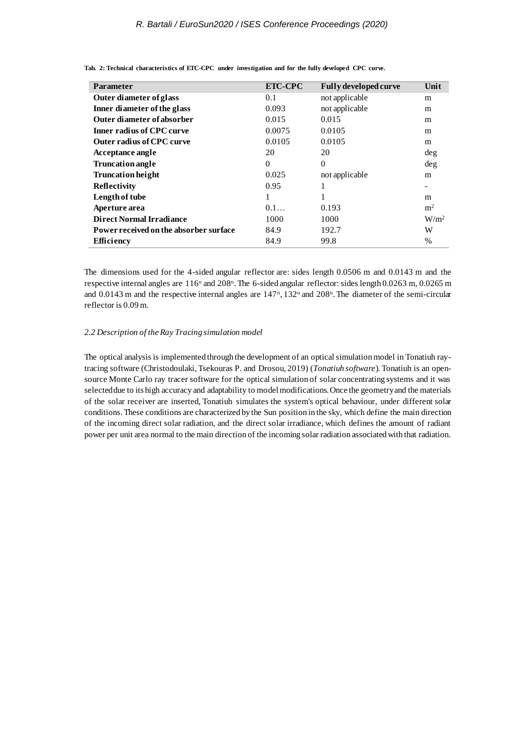| <b>Parameter</b>                       | <b>ETC-CPC</b> | <b>Fully developed curve</b> | Unit             |
|----------------------------------------|----------------|------------------------------|------------------|
| Outer diameter of glass                | 0.1            | not applicable               | m                |
| Inner diameter of the glass            | 0.093          | not applicable               | m                |
| Outer diameter of absorber             | 0.015          | 0.015                        | m                |
| <b>Inner radius of CPC curve</b>       | 0.0075         | 0.0105                       | m                |
| <b>Outer radius of CPC curve</b>       | 0.0105         | 0.0105                       | m                |
| <b>Acceptance angle</b>                | 20             | 20                           | $\deg$           |
| <b>Truncation angle</b>                | $\Omega$       | $\overline{0}$               | deg              |
| <b>Truncation height</b>               | 0.025          | not applicable               | m                |
| Reflectivity                           | 0.95           | 1                            | -                |
| Length of tube                         | 1              | 1                            | m                |
| Aperture area                          | 0.1            | 0.193                        | m <sup>2</sup>   |
| <b>Direct Normal Irradiance</b>        | 1000           | 1000                         | W/m <sup>2</sup> |
| Power received on the absorber surface | 84.9           | 192.7                        | W                |
| <b>Efficiency</b>                      | 84.9           | 99.8                         | $\%$             |

**Tab. 2: Technical characteristics of ETC-CPC under investigation and for the fully developed CPC curve.**

The dimensions used for the 4-sided angular reflector are: sides length 0.0506 m and 0.0143 m and the respective internal angles are 116° and 208°. The 6-sided angular reflector: sides length 0.0263 m, 0.0265 m and 0.0143 m and the respective internal angles are 147°, 132° and 208°. The diameter of the semi-circular reflector is 0.09 m.

#### *2.2 Description of the Ray Tracing simulation model*

The optical analysis is implemented through the development of an optical simulation model in Tonatiuh raytracing software (Christodoulaki, Tsekouras P. and Drosou, 2019) (*Tonatiuh software*). Tonatiuh is an opensource Monte Carlo ray tracer software for the optical simulation of solar concentrating systems and it was selected due to its high accuracy and adaptability to model modifications. Once the geometry and the materials of the solar receiver are inserted, Tonatiuh simulates the system's optical behaviour, under different solar conditions. These conditions are characterized by the Sun position in the sky, which define the main direction of the incoming direct solar radiation, and the direct solar irradiance, which defines the amount of radiant power per unit area normal to the main direction of the incoming solar radiation associated with that radiation.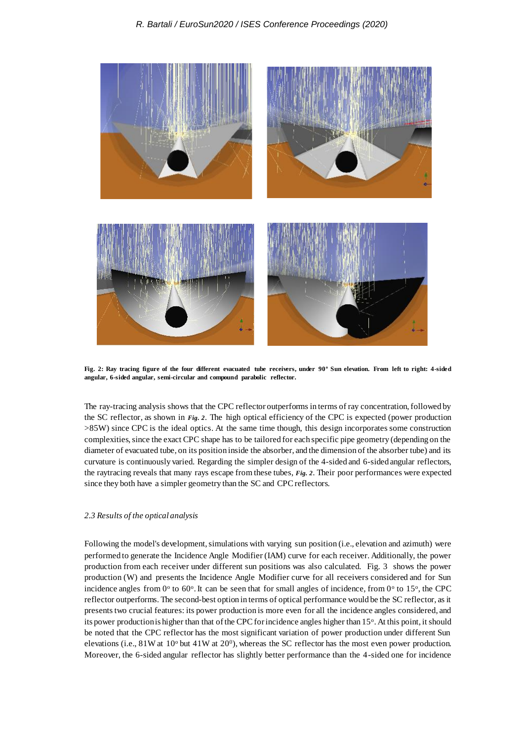

**Fig. 2: Ray tracing figure of the four different evacuated tube receivers, under 90<sup>o</sup> Sun elevation. From left to right: 4-sided angular, 6-sided angular, semi-circular and compound parabolic reflector.**

The ray-tracing analysis shows that the CPC reflector outperforms in terms of ray concentration, followed by the SC reflector, as shown in *Fig. 2*. The high optical efficiency of the CPC is expected (power production >85W) since CPC is the ideal optics. At the same time though, this design incorporates some construction complexities, since the exact CPC shape has to be tailored for each specific pipe geometry (depending on the diameter of evacuated tube, on its position inside the absorber, and the dimension of the absorber tube) and its curvature is continuously varied. Regarding the simpler design of the 4-sided and 6-sided angular reflectors, the raytracing reveals that many rays escape from these tubes, *Fig. 2*. Their poor performances were expected since they both have a simpler geometry than the SC and CPC reflectors.

#### *2.3 Results of the optical analysis*

Following the model's development, simulations with varying sun position (i.e., elevation and azimuth) were performed to generate the Incidence Angle Modifier (IAM) curve for each receiver. Additionally, the power production from each receiver under different sun positions was also calculated. Fig. 3 shows the power production (W) and presents the Incidence Angle Modifier curve for all receivers considered and for Sun incidence angles from  $0^{\circ}$  to 60°. It can be seen that for small angles of incidence, from  $0^{\circ}$  to 15°, the CPC reflector outperforms. The second-best option in terms of optical performance would be the SC reflector, as it presents two crucial features: its power production is more even for all the incidence angles considered, and its power production is higher than that of the CPC for incidence angles higher than 15°. At this point, it should be noted that the CPC reflector has the most significant variation of power production under different Sun elevations (i.e.,  $81W$  at  $10^{\circ}$  but  $41W$  at  $20^{\circ}$ ), whereas the SC reflector has the most even power production. Moreover, the 6-sided angular reflector has slightly better performance than the 4-sided one for incidence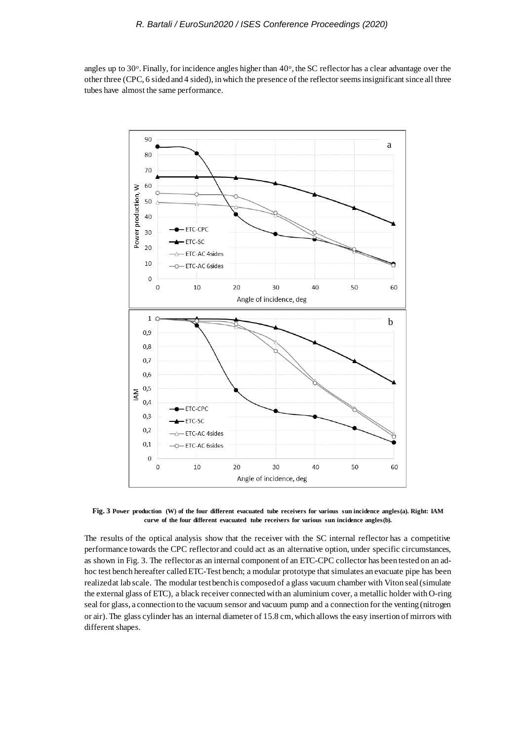angles up to 30°. Finally, for incidence angles higher than 40°, the SC reflector has a clear advantage over the other three (CPC, 6 sided and 4 sided), in which the presence of the reflector seems insignificant since all three tubes have almost the same performance.



**Fig. 3 Power production (W) of the four different evacuated tube receivers for various sun incidence angles(a). Right: IAM curve of the four different evacuated tube receivers for various sun incidence angles(b).**

The results of the optical analysis show that the receiver with the SC internal reflector has a competitive performance towards the CPC reflector and could act as an alternative option, under specific circumstances, as shown in Fig. 3. The reflector as an internal component of an ETC-CPC collector has been tested on an adhoc test bench hereafter called ETC-Test bench; a modular prototype that simulates an evacuate pipe has been realized at lab scale. The modular test bench is composed of a glass vacuum chamber with Viton seal (simulate the external glass of ETC), a black receiver connected with an aluminium cover, a metallic holder with O-ring seal for glass, a connection to the vacuum sensor and vacuum pump and a connection for the venting (nitrogen or air). The glass cylinder has an internal diameter of 15.8 cm, which allows the easy insertion of mirrors with different shapes.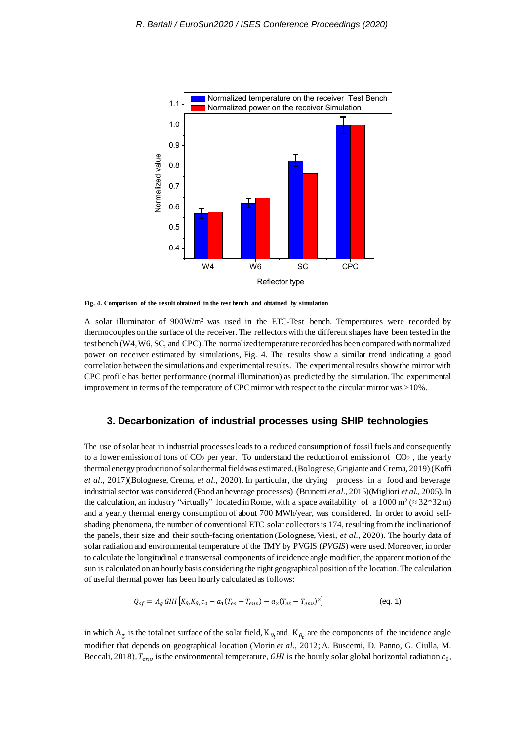

**Fig. 4. Comparison of the result obtained in the test bench and obtained by simulation**

A solar illuminator of 900W/m<sup>2</sup> was used in the ETC-Test bench. Temperatures were recorded by thermocouples on the surface of the receiver. The reflectors with the different shapes have been tested in the test bench (W4, W6, SC, and CPC). The normalized temperature recorded has been compared with normalized power on receiver estimated by simulations, Fig. 4. The results show a similar trend indicating a good correlation between the simulations and experimental results. The experimental results show the mirror with CPC profile has better performance (normal illumination) as predicted by the simulation. The experimental improvement in terms of the temperature of CPC mirror with respect to the circular mirror was >10%.

# **3. Decarbonization of industrial processes using SHIP technologies**

The use of solar heat in industrial processes leads to a reduced consumption of fossil fuels and consequently to a lower emission of tons of CO<sub>2</sub> per year. To understand the reduction of emission of CO<sub>2</sub>, the yearly thermal energy production of solar thermal fieldwas estimated.(Bolognese, Grigiante and Crema, 2019) (Koffi *et al.*, 2017)(Bolognese, Crema, *et al.*, 2020). In particular, the drying process in a food and beverage industrial sector was considered (Food an beverage processes) (Brunetti *et al.*, 2015)(Migliori *et al.*, 2005). In the calculation, an industry "virtually" located in Rome, with a space availability of a  $1000 \text{ m}^2 (\approx 32*32 \text{ m})$ and a yearly thermal energy consumption of about 700 MWh/year, was considered. In order to avoid selfshading phenomena, the number of conventional ETC solar collectors is 174, resulting from the inclination of the panels, their size and their south-facing orientation (Bolognese, Viesi, *et al.*, 2020). The hourly data of solar radiation and environmental temperature of the TMY by PVGIS (*PVGIS*) were used. Moreover, in order to calculate the longitudinal e transversal components of incidence angle modifier, the apparent motion of the sun is calculated on an hourly basis considering the right geographical position of the location. The calculation of useful thermal power has been hourly calculated as follows:

$$
Q_{sf} = A_g \, GHI \left[ K_{\theta_l} K_{\theta_t} c_0 - a_1 (T_{es} - T_{env}) - a_2 (T_{es} - T_{env})^2 \right] \tag{eq. 1}
$$

in which  $A_g$  is the total net surface of the solar field,  $K_{\theta_l}$  and  $K_{\theta_t}$  are the components of the incidence angle modifier that depends on geographical location (Morin *et al.*, 2012; A. Buscemi, D. Panno, G. Ciulla, M. Beccali, 2018),  $T_{env}$  is the environmental temperature, GHI is the hourly solar global horizontal radiation  $c_0$ ,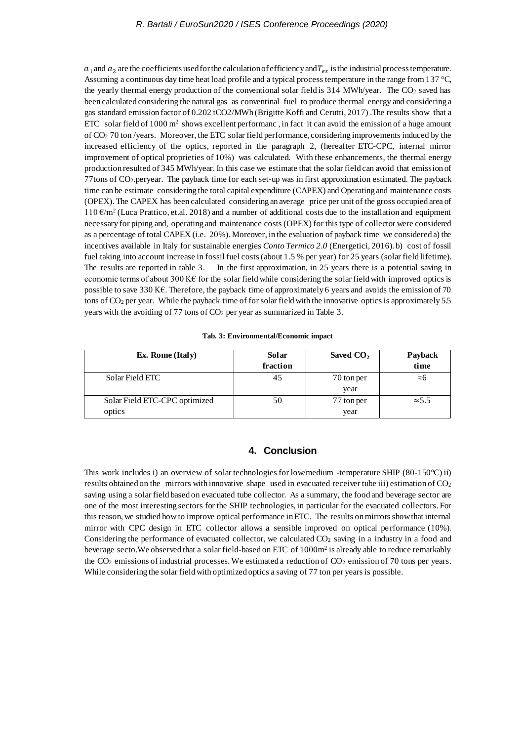$a_1$  and  $a_2$  are the coefficients used for the calculation of efficiency and  $T_{es}$  is the industrial process temperature. Assuming a continuous day time heat load profile and a typical process temperature in the range from 137 °C, the yearly thermal energy production of the conventional solar field is 314 MWh/year. The CO2 saved has been calculated considering the natural gas as conventinal fuel to produce thermal energy and considering a gas standard emission factor of 0.202 tCO2/MWh (Brigitte Koffi and Cerutti, 2017) .The results show that a ETC solar field of 1000 m<sup>2</sup> shows excellent performanc, in fact it can avoid the emission of a huge amount of CO<sup>2</sup> 70 ton /years. Moreover, the ETC solar field performance, considering improvements induced by the increased efficiency of the optics, reported in the paragraph 2, (hereafter ETC-CPC, internal mirror improvement of optical proprieties of 10%) was calculated. With these enhancements, the thermal energy production resulted of 345 MWh/year. In this case we estimate that the solar field can avoid that emission of 77tons of CO2.peryear. The payback time for each set-up was in first approximation estimated. The payback time can be estimate considering the total capital expenditure (CAPEX) and Operating and maintenance costs (OPEX). The CAPEX has been calculated considering an average price per unit of the gross occupied area of  $110 \text{ }\epsilon/\text{m}^2$  (Luca Prattico, et.al. 2018) and a number of additional costs due to the installation and equipment necessary for piping and, operating and maintenance costs (OPEX) for this type of collector were considered as a percentage of total CAPEX (i.e. 20%). Moreover, in the evaluation of payback time we considered a) the incentives available in Italy for sustainable energies *Conto Termico 2.0* (Energetici, 2016). b) cost of fossil fuel taking into account increase in fossil fuel costs (about 1.5 % per year) for 25 years (solar field lifetime). The results are reported in table 3. In the first approximation, in 25 years there is a potential saving in economic terms of about 300 K $\epsilon$  for the solar field while considering the solar field with improved optics is possible to save 330 K€. Therefore, the payback time of approximately 6 years and avoids the emission of 70 tons of CO<sup>2</sup> per year. While the payback time of for solar field with the innovative optics is approximately 5.5 years with the avoiding of 77 tons of CO<sub>2</sub> per year as summarized in Table 3.

|  | Tab. 3: Environmental/Economic impact |  |
|--|---------------------------------------|--|
|--|---------------------------------------|--|

| <b>Ex.</b> Rome (Italy)       | Solar    | Saved $CO2$ | Payback       |
|-------------------------------|----------|-------------|---------------|
|                               | fraction |             | time          |
| Solar Field ETC               | 45       | 70 ton per  | $\approx 6$   |
|                               |          | year        |               |
| Solar Field ETC-CPC optimized | 50       | 77 ton per  | $\approx 5.5$ |
| optics                        |          | vear        |               |

# **4. Conclusion**

This work includes i) an overview of solar technologies for low/medium -temperature SHIP (80-150°C) ii) results obtained on the mirrors with innovative shape used in evacuated receiver tube iii) estimation of CO<sup>2</sup> saving using a solar field based on evacuated tube collector. As a summary, the food and beverage sector are one of the most interesting sectors for the SHIP technologies, in particular for the evacuated collectors. For this reason, we studied how to improve optical performance in ETC. The results on mirrors show that internal mirror with CPC design in ETC collector allows a sensible improved on optical performance (10%). Considering the performance of evacuated collector, we calculated CO<sub>2</sub> saving in a industry in a food and beverage secto. We observed that a solar field-based on ETC of 1000m<sup>2</sup> is already able to reduce remarkably the  $CO<sub>2</sub>$  emissions of industrial processes. We estimated a reduction of  $CO<sub>2</sub>$  emission of 70 tons per years. While considering the solar field with optimized optics a saving of 77 ton per years is possible.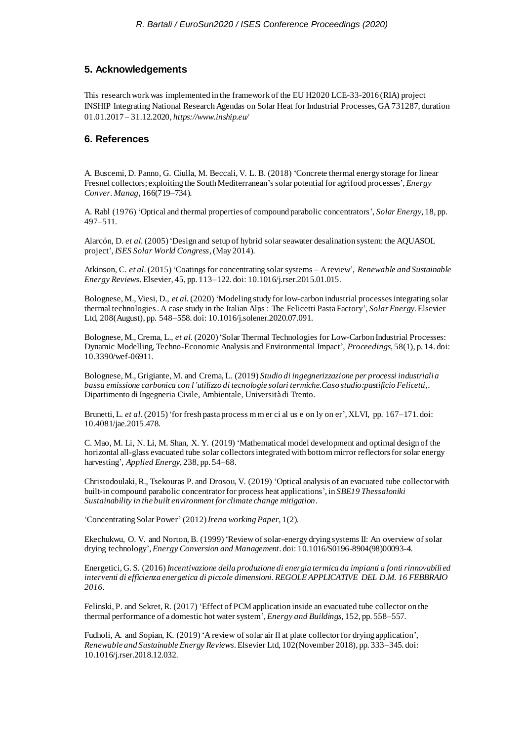# **5. Acknowledgements**

This research work was implemented in the framework of the EU H2020 LCE-33-2016 (RIA) project INSHIP Integrating National Research Agendas on Solar Heat for Industrial Processes, GA 731287, duration 01.01.2017 – 31.12.2020, *https://www.inship.eu/*

# **6. References**

A. Buscemi, D. Panno, G. Ciulla, M. Beccali, V. L. B. (2018) 'Concrete thermal energy storage for linear Fresnel collectors; exploiting the South Mediterranean's solar potential for agrifood processes', *Energy Conver. Manag*, 166(719–734).

A. Rabl (1976) 'Optical and thermal properties of compound parabolic concentrators', *Solar Energy*, 18, pp. 497–511.

Alarcón, D. *et al.* (2005) 'Design and setup of hybrid solar seawater desalination system: the AQUASOL project', *ISES Solar World Congress*, (May 2014).

Atkinson, C. *et al.*(2015) 'Coatings for concentrating solar systems – A review', *Renewable and Sustainable Energy Reviews*. Elsevier, 45, pp. 113–122. doi: 10.1016/j.rser.2015.01.015.

Bolognese, M., Viesi, D., *et al.*(2020) 'Modeling study for low-carbon industrial processes integrating solar thermal technologies . A case study in the Italian Alps : The Felicetti Pasta Factory', *Solar Energy*. Elsevier Ltd, 208(August), pp. 548–558. doi: 10.1016/j.solener.2020.07.091.

Bolognese, M., Crema, L., *et al.* (2020) 'Solar Thermal Technologies for Low-Carbon Industrial Processes: Dynamic Modelling, Techno-Economic Analysis and Environmental Impact', *Proceedings*, 58(1), p. 14. doi: 10.3390/wef-06911.

Bolognese, M., Grigiante, M. and Crema, L. (2019) *Studio di ingegnerizzazione per processi industriali a bassa emissione carbonica con l'utilizzo di tecnologie solari termiche.Caso studio:pastificio Felicetti,*. Dipartimento di Ingegneria Civile, Ambientale, Università di Trento.

Brunetti, L. *et al.* (2015) 'for fresh pasta process m m er ci al us e on ly on er', XLVI, pp. 167–171. doi: 10.4081/jae.2015.478.

C. Mao, M. Li, N. Li, M. Shan, X. Y. (2019) 'Mathematical model development and optimal design of the horizontal all-glass evacuated tube solar collectors integrated with bottom mirror reflectors for solar energy harvesting', *Applied Energy*, 238, pp. 54–68.

Christodoulaki, R., Tsekouras P. and Drosou, V. (2019) 'Optical analysis of an evacuated tube collector with built-in compound parabolic concentrator for process heat applications', in *SBE19 Thessaloniki Sustainability in the built environment for climate change mitigation*.

'Concentrating Solar Power' (2012) *Irena working Paper*, 1(2).

Ekechukwu, O. V. and Norton, B. (1999) 'Review of solar-energy drying systems II: An overview of solar drying technology', *Energy Conversion and Management*. doi: 10.1016/S0196-8904(98)00093-4.

Energetici, G. S. (2016) *Incentivazione della produzione di energia termica da impianti a fonti rinnovabili ed interventi di efficienza energetica di piccole dimensioni. REGOLE APPLICATIVE DEL D.M. 16 FEBBRAIO 2016*.

Felinski, P. and Sekret, R. (2017) 'Effect of PCM application inside an evacuated tube collector on the thermal performance of a domestic hot water system', *Energy and Buildings*, 152, pp. 558–557.

Fudholi, A. and Sopian, K. (2019) 'A review of solar air fl at plate collector for drying application', *Renewable and Sustainable Energy Reviews*. Elsevier Ltd, 102(November 2018), pp. 333–345. doi: 10.1016/j.rser.2018.12.032.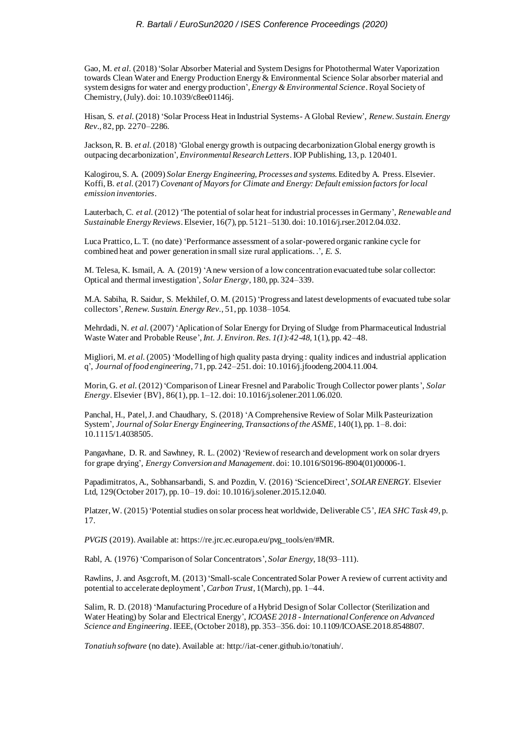Gao, M. *et al.* (2018) 'Solar Absorber Material and System Designs for Photothermal Water Vaporization towards Clean Water and Energy Production Energy & Environmental Science Solar absorber material and system designs for water and energy production', *Energy & Environmental Science*. Royal Society of Chemistry, (July). doi: 10.1039/c8ee01146j.

Hisan, S. *et al.* (2018) 'Solar Process Heat in Industrial Systems- A Global Review', *Renew. Sustain. Energy Rev.*, 82, pp. 2270–2286.

Jackson, R. B. *et al.* (2018) 'Global energy growth is outpacing decarbonization Global energy growth is outpacing decarbonization', *Environmental Research Letters*. IOP Publishing, 13, p. 120401.

Kalogirou, S. A. (2009) *Solar Energy Engineering, Processes and systems*. Edited by A. Press. Elsevier. Koffi, B. *et al.* (2017) *Covenant of Mayors for Climate and Energy: Default emission factors for local emission inventories*.

Lauterbach, C. *et al.* (2012) 'The potential of solar heat for industrial processes in Germany', *Renewable and Sustainable Energy Reviews*. Elsevier, 16(7), pp. 5121–5130. doi: 10.1016/j.rser.2012.04.032.

Luca Prattico, L. T. (no date) 'Performance assessment of a solar-powered organic rankine cycle for combined heat and power generation in small size rural applications. .', *E. S.*

M. Telesa, K. Ismail, A. A. (2019) 'A new version of a low concentration evacuated tube solar collector: Optical and thermal investigation', *Solar Energy*, 180, pp. 324–339.

M.A. Sabiha, R. Saidur, S. Mekhilef, O. M. (2015) 'Progress and latest developments of evacuated tube solar collectors', *Renew. Sustain. Energy Rev.*, 51, pp. 1038–1054.

Mehrdadi, N. *et al.* (2007) 'Aplication of Solar Energy for Drying of Sludge from Pharmaceutical Industrial Waste Water and Probable Reuse',*Int. J. Environ. Res. 1(1):42-48,* 1(1), pp. 42–48.

Migliori, M. *et al.*(2005) 'Modelling of high quality pasta drying : quality indices and industrial application q', *Journal of food engineering*, 71, pp. 242–251. doi: 10.1016/j.jfoodeng.2004.11.004.

Morin, G. *et al.* (2012) 'Comparison of Linear Fresnel and Parabolic Trough Collector power plants', *Solar Energy*. Elsevier {BV}, 86(1), pp. 1–12. doi: 10.1016/j.solener.2011.06.020.

Panchal, H., Patel, J. and Chaudhary, S. (2018) 'A Comprehensive Review of Solar Milk Pasteurization System', *Journal of Solar Energy Engineering, Transactions of the ASME*, 140(1), pp. 1–8. doi: 10.1115/1.4038505.

Pangavhane, D. R. and Sawhney, R. L. (2002) 'Review of research and development work on solar dryers for grape drying', *Energy Conversion and Management*. doi: 10.1016/S0196-8904(01)00006-1.

Papadimitratos, A., Sobhansarbandi, S. and Pozdin, V. (2016) 'ScienceDirect', *SOLAR ENERGY*. Elsevier Ltd, 129(October 2017), pp. 10–19. doi: 10.1016/j.solener.2015.12.040.

Platzer, W. (2015) 'Potential studies on solar process heat worldwide, Deliverable C5', *IEA SHC Task 49*, p. 17.

*PVGIS* (2019). Available at: https://re.jrc.ec.europa.eu/pvg\_tools/en/#MR.

Rabl, A. (1976) 'Comparison of Solar Concentrators', *Solar Energy*, 18(93–111).

Rawlins, J. and Asgcroft, M. (2013) 'Small-scale Concentrated Solar Power A review of current activity and potential to accelerate deployment', *Carbon Trust*, 1(March), pp. 1–44.

Salim, R. D. (2018) 'Manufacturing Procedure of a Hybrid Design of Solar Collector (Sterilization and Water Heating) by Solar and Electrical Energy', *ICOASE 2018 - International Conference on Advanced Science and Engineering*. IEEE, (October 2018), pp. 353–356. doi: 10.1109/ICOASE.2018.8548807.

*Tonatiuh software* (no date). Available at: http://iat-cener.github.io/tonatiuh/.